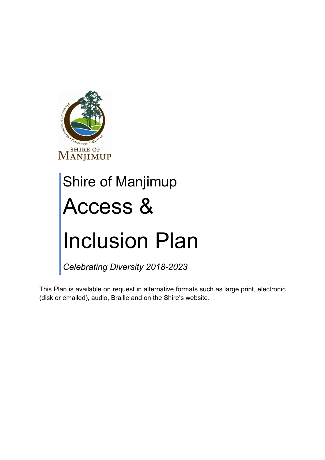

# Shire of Manjimup Access & Inclusion Plan

*Celebrating Diversity 2018-2023*

This Plan is available on request in alternative formats such as large print, electronic (disk or emailed), audio, Braille and on the Shire's website.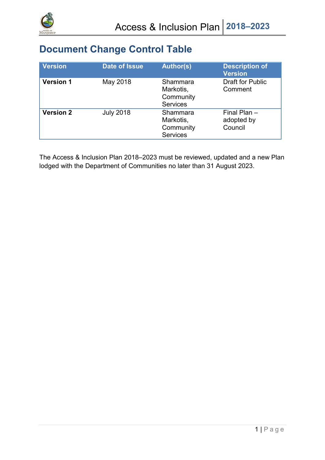

## **Document Change Control Table**

| <b>Version</b>   | <b>Date of Issue</b> | <b>Author(s)</b>                                      | <b>Description of</b><br><b>Version</b> |
|------------------|----------------------|-------------------------------------------------------|-----------------------------------------|
| <b>Version 1</b> | May 2018             | Shammara<br>Markotis,<br>Community<br><b>Services</b> | <b>Draft for Public</b><br>Comment      |
| <b>Version 2</b> | <b>July 2018</b>     | Shammara<br>Markotis,<br>Community<br><b>Services</b> | Final Plan $-$<br>adopted by<br>Council |

The Access & Inclusion Plan 2018–2023 must be reviewed, updated and a new Plan lodged with the Department of Communities no later than 31 August 2023.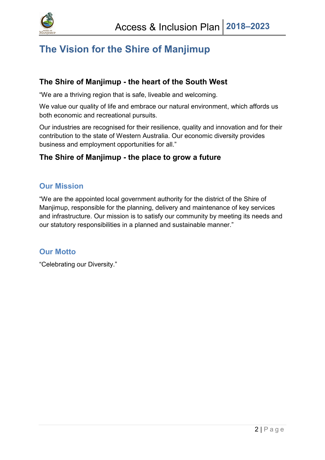

## **The Vision for the Shire of Manjimup**

#### **The Shire of Manjimup - the heart of the South West**

"We are a thriving region that is safe, liveable and welcoming.

We value our quality of life and embrace our natural environment, which affords us both economic and recreational pursuits.

Our industries are recognised for their resilience, quality and innovation and for their contribution to the state of Western Australia. Our economic diversity provides business and employment opportunities for all."

#### **The Shire of Manjimup - the place to grow a future**

#### **Our Mission**

"We are the appointed local government authority for the district of the Shire of Manjimup, responsible for the planning, delivery and maintenance of key services and infrastructure. Our mission is to satisfy our community by meeting its needs and our statutory responsibilities in a planned and sustainable manner."

#### **Our Motto**

"Celebrating our Diversity."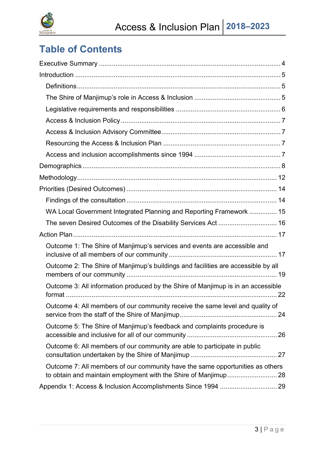

## **Table of Contents**

| WA Local Government Integrated Planning and Reporting Framework  15               |  |
|-----------------------------------------------------------------------------------|--|
| The seven Desired Outcomes of the Disability Services Act 16                      |  |
|                                                                                   |  |
| Outcome 1: The Shire of Manjimup's services and events are accessible and         |  |
| Outcome 2: The Shire of Manjimup's buildings and facilities are accessible by all |  |
| Outcome 3: All information produced by the Shire of Manjimup is in an accessible  |  |
| Outcome 4: All members of our community receive the same level and quality of     |  |
| Outcome 5: The Shire of Manjimup's feedback and complaints procedure is           |  |
| Outcome 6: All members of our community are able to participate in public         |  |
| Outcome 7: All members of our community have the same opportunities as others     |  |
|                                                                                   |  |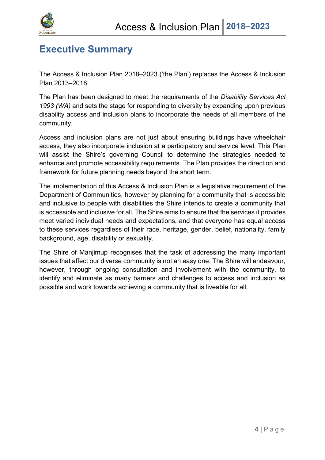

## <span id="page-4-0"></span>**Executive Summary**

The Access & Inclusion Plan 2018–2023 ('the Plan') replaces the Access & Inclusion Plan 2013–2018.

The Plan has been designed to meet the requirements of the *Disability Services Act 1993 (WA)* and sets the stage for responding to diversity by expanding upon previous disability access and inclusion plans to incorporate the needs of all members of the community.

Access and inclusion plans are not just about ensuring buildings have wheelchair access, they also incorporate inclusion at a participatory and service level. This Plan will assist the Shire's governing Council to determine the strategies needed to enhance and promote accessibility requirements. The Plan provides the direction and framework for future planning needs beyond the short term.

The implementation of this Access & Inclusion Plan is a legislative requirement of the Department of Communities, however by planning for a community that is accessible and inclusive to people with disabilities the Shire intends to create a community that is accessible and inclusive for all. The Shire aims to ensure that the services it provides meet varied individual needs and expectations, and that everyone has equal access to these services regardless of their race, heritage, gender, belief, nationality, family background, age, disability or sexuality.

The Shire of Manjimup recognises that the task of addressing the many important issues that affect our diverse community is not an easy one. The Shire will endeavour, however, through ongoing consultation and involvement with the community, to identify and eliminate as many barriers and challenges to access and inclusion as possible and work towards achieving a community that is liveable for all.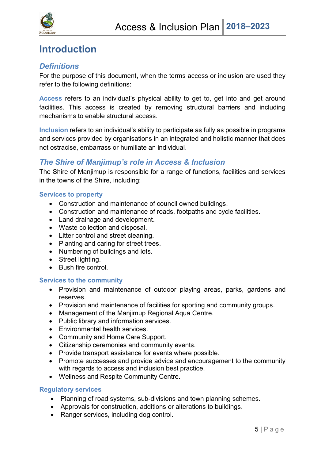

## <span id="page-5-0"></span>**Introduction**

#### <span id="page-5-1"></span>*Definitions*

For the purpose of this document, when the terms access or inclusion are used they refer to the following definitions:

**Access** refers to an individual's physical ability to get to, get into and get around facilities. This access is created by removing structural barriers and including mechanisms to enable structural access.

**Inclusion** refers to an individual's ability to participate as fully as possible in programs and services provided by organisations in an integrated and holistic manner that does not ostracise, embarrass or humiliate an individual.

#### <span id="page-5-2"></span>*The Shire of Manjimup's role in Access & Inclusion*

The Shire of Manjimup is responsible for a range of functions, facilities and services in the towns of the Shire, including:

#### **Services to property**

- Construction and maintenance of council owned buildings.
- Construction and maintenance of roads, footpaths and cycle facilities.
- Land drainage and development.
- Waste collection and disposal.
- Litter control and street cleaning.
- Planting and caring for street trees.
- Numbering of buildings and lots.
- Street lighting.
- **Bush fire control.**

#### **Services to the community**

- Provision and maintenance of outdoor playing areas, parks, gardens and reserves.
- Provision and maintenance of facilities for sporting and community groups.
- Management of the Manjimup Regional Aqua Centre.
- Public library and information services.
- Environmental health services.
- Community and Home Care Support.
- Citizenship ceremonies and community events.
- Provide transport assistance for events where possible.
- Promote successes and provide advice and encouragement to the community with regards to access and inclusion best practice.
- Wellness and Respite Community Centre.

#### **Regulatory services**

- Planning of road systems, sub-divisions and town planning schemes.
- Approvals for construction, additions or alterations to buildings.
- Ranger services, including dog control.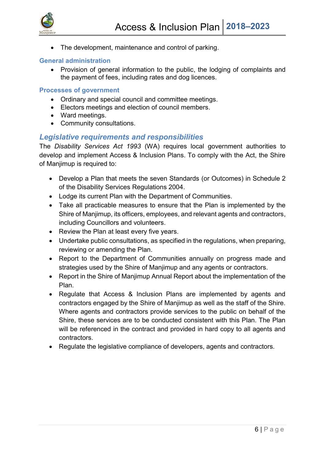

• The development, maintenance and control of parking.

#### **General administration**

• Provision of general information to the public, the lodging of complaints and the payment of fees, including rates and dog licences.

#### **Processes of government**

- Ordinary and special council and committee meetings.
- Electors meetings and election of council members.
- Ward meetings.
- Community consultations.

#### <span id="page-6-0"></span>*Legislative requirements and responsibilities*

The *Disability Services Act 1993* (WA) requires local government authorities to develop and implement Access & Inclusion Plans. To comply with the Act, the Shire of Manjimup is required to:

- Develop a Plan that meets the seven Standards (or Outcomes) in Schedule 2 of the Disability Services Regulations 2004.
- Lodge its current Plan with the Department of Communities.
- Take all practicable measures to ensure that the Plan is implemented by the Shire of Manjimup, its officers, employees, and relevant agents and contractors, including Councillors and volunteers.
- Review the Plan at least every five years.
- Undertake public consultations, as specified in the regulations, when preparing, reviewing or amending the Plan.
- Report to the Department of Communities annually on progress made and strategies used by the Shire of Manjimup and any agents or contractors.
- Report in the Shire of Manjimup Annual Report about the implementation of the Plan.
- Regulate that Access & Inclusion Plans are implemented by agents and contractors engaged by the Shire of Manjimup as well as the staff of the Shire. Where agents and contractors provide services to the public on behalf of the Shire, these services are to be conducted consistent with this Plan. The Plan will be referenced in the contract and provided in hard copy to all agents and contractors.
- Regulate the legislative compliance of developers, agents and contractors.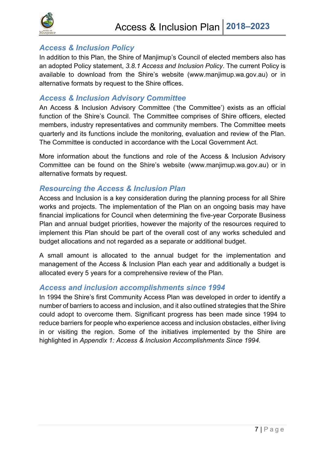

#### <span id="page-7-0"></span>*Access & Inclusion Policy*

In addition to this Plan, the Shire of Manjimup's Council of elected members also has an adopted Policy statement, *3.8.1 Access and Inclusion Policy*. The current Policy is available to download from the Shire's website (www.manjimup.wa.gov.au) or in alternative formats by request to the Shire offices.

#### <span id="page-7-1"></span>*Access & Inclusion Advisory Committee*

An Access & Inclusion Advisory Committee ('the Committee') exists as an official function of the Shire's Council. The Committee comprises of Shire officers, elected members, industry representatives and community members. The Committee meets quarterly and its functions include the monitoring, evaluation and review of the Plan. The Committee is conducted in accordance with the Local Government Act.

More information about the functions and role of the Access & Inclusion Advisory Committee can be found on the Shire's website (www.manjimup.wa.gov.au) or in alternative formats by request.

#### <span id="page-7-2"></span>*Resourcing the Access & Inclusion Plan*

Access and Inclusion is a key consideration during the planning process for all Shire works and projects. The implementation of the Plan on an ongoing basis may have financial implications for Council when determining the five-year Corporate Business Plan and annual budget priorities, however the majority of the resources required to implement this Plan should be part of the overall cost of any works scheduled and budget allocations and not regarded as a separate or additional budget.

A small amount is allocated to the annual budget for the implementation and management of the Access & Inclusion Plan each year and additionally a budget is allocated every 5 years for a comprehensive review of the Plan.

#### <span id="page-7-3"></span>*Access and inclusion accomplishments since 1994*

In 1994 the Shire's first Community Access Plan was developed in order to identify a number of barriers to access and inclusion, and it also outlined strategies that the Shire could adopt to overcome them. Significant progress has been made since 1994 to reduce barriers for people who experience access and inclusion obstacles, either living in or visiting the region. Some of the initiatives implemented by the Shire are highlighted in *Appendix 1: Access & Inclusion Accomplishments Since 1994.*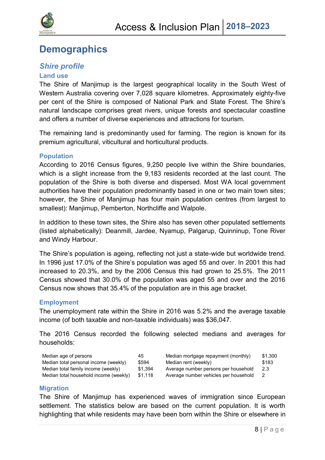

## <span id="page-8-0"></span>**Demographics**

#### *Shire profile*

#### **Land use**

The Shire of Manjimup is the largest geographical locality in the South West of Western Australia covering over 7,028 square kilometres. Approximately eighty-five per cent of the Shire is composed of National Park and State Forest. The Shire's natural landscape comprises great rivers, unique forests and spectacular coastline and offers a number of diverse experiences and attractions for tourism.

The remaining land is predominantly used for farming. The region is known for its premium agricultural, viticultural and horticultural products.

#### **Population**

According to 2016 Census figures, 9,250 people live within the Shire boundaries, which is a slight increase from the 9,183 residents recorded at the last count. The population of the Shire is both diverse and dispersed. Most WA local government authorities have their population predominantly based in one or two main town sites; however, the Shire of Manjimup has four main population centres (from largest to smallest): Manjimup, Pemberton, Northcliffe and Walpole.

In addition to these town sites, the Shire also has seven other populated settlements (listed alphabetically): Deanmill, Jardee, Nyamup, Palgarup, Quinninup, Tone River and Windy Harbour.

The Shire's population is ageing, reflecting not just a state-wide but worldwide trend. In 1996 just 17.0% of the Shire's population was aged 55 and over. In 2001 this had increased to 20.3%, and by the 2006 Census this had grown to 25.5%. The 2011 Census showed that 30.0% of the population was aged 55 and over and the 2016 Census now shows that 35.4% of the population are in this age bracket.

#### **Employment**

The unemployment rate within the Shire in 2016 was 5.2% and the average taxable income (of both taxable and non-taxable individuals) was \$36,047.

The 2016 Census recorded the following selected medians and averages for households:

| \$1.300 |
|---------|
| \$183   |
| 2.3     |
| - 2     |
|         |

#### **Migration**

The Shire of Manjimup has experienced waves of immigration since European settlement. The statistics below are based on the current population. It is worth highlighting that while residents may have been born within the Shire or elsewhere in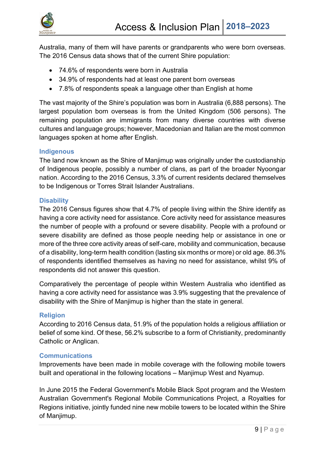

Australia, many of them will have parents or grandparents who were born overseas. The 2016 Census data shows that of the current Shire population:

- 74.6% of respondents were born in Australia
- 34.9% of respondents had at least one parent born overseas
- 7.8% of respondents speak a language other than English at home

The vast majority of the Shire's population was born in Australia (6,888 persons). The largest population born overseas is from the United Kingdom (506 persons). The remaining population are immigrants from many diverse countries with diverse cultures and language groups; however, Macedonian and Italian are the most common languages spoken at home after English.

#### **Indigenous**

The land now known as the Shire of Manjimup was originally under the custodianship of Indigenous people, possibly a number of clans, as part of the broader Nyoongar nation. According to the 2016 Census, 3.3% of current residents declared themselves to be Indigenous or Torres Strait Islander Australians.

#### **Disability**

The 2016 Census figures show that 4.7% of people living within the Shire identify as having a core activity need for assistance. Core activity need for assistance measures the number of people with a profound or severe disability. People with a profound or severe disability are defined as those people needing help or assistance in one or more of the three core activity areas of self-care, mobility and communication, because of a disability, long-term health condition (lasting six months or more) or old age. 86.3% of respondents identified themselves as having no need for assistance, whilst 9% of respondents did not answer this question.

Comparatively the percentage of people within Western Australia who identified as having a core activity need for assistance was 3.9% suggesting that the prevalence of disability with the Shire of Manjimup is higher than the state in general.

#### **Religion**

According to 2016 Census data, 51.9% of the population holds a religious affiliation or belief of some kind. Of these, 56.2% subscribe to a form of Christianity, predominantly Catholic or Anglican.

#### **Communications**

Improvements have been made in mobile coverage with the following mobile towers built and operational in the following locations – Manjimup West and Nyamup.

In June 2015 the Federal Government's Mobile Black Spot program and the Western Australian Government's Regional Mobile Communications Project, a Royalties for Regions initiative, jointly funded nine new mobile towers to be located within the Shire of Manjimup.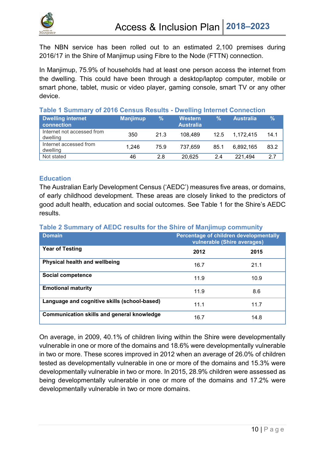

The NBN service has been rolled out to an estimated 2,100 premises during 2016/17 in the Shire of Manjimup using Fibre to the Node (FTTN) connection.

In Manjimup, 75.9% of households had at least one person access the internet from the dwelling. This could have been through a desktop/laptop computer, mobile or smart phone, tablet, music or video player, gaming console, smart TV or any other device.

| Table 1 Summary of 2016 Census Results - Dwelling Internet Connection |  |  |  |  |  |  |
|-----------------------------------------------------------------------|--|--|--|--|--|--|
|                                                                       |  |  |  |  |  |  |

| <b>Dwelling internet</b><br>connection | <b>Manjimup</b> | ℅    | Western<br><b>Australia</b> | %    | <b>Australia</b> | $\%$ |
|----------------------------------------|-----------------|------|-----------------------------|------|------------------|------|
| Internet not accessed from<br>dwelling | 350             | 21.3 | 108.489                     | 12.5 | 1.172.415        | 14.1 |
| Internet accessed from<br>dwelling     | 1.246           | 75.9 | 737.659                     | 85.1 | 6.892.165        | 83.2 |
| Not stated                             | 46              | 2.8  | 20.625                      | 2.4  | 221.494          | 27   |

#### **Education**

The Australian Early Development Census ('AEDC') measures five areas, or domains, of early childhood development. These areas are closely linked to the predictors of good adult health, education and social outcomes. See Table 1 for the Shire's AEDC results.

## **Table 2 Summary of AEDC results for the Shire of Manjimup community**

| <b>Domain</b>                                | Percentage of children developmentally<br>vulnerable (Shire averages) |      |  |  |
|----------------------------------------------|-----------------------------------------------------------------------|------|--|--|
| <b>Year of Testing</b>                       | 2012                                                                  | 2015 |  |  |
| Physical health and wellbeing                | 16.7                                                                  | 21.1 |  |  |
| Social competence                            | 11.9                                                                  | 10.9 |  |  |
| <b>Emotional maturity</b>                    | 11.9                                                                  | 8.6  |  |  |
| Language and cognitive skills (school-based) | 11.1                                                                  | 11.7 |  |  |
| Communication skills and general knowledge   | 16.7                                                                  | 14.8 |  |  |

On average, in 2009, 40.1% of children living within the Shire were developmentally vulnerable in one or more of the domains and 18.6% were developmentally vulnerable in two or more. These scores improved in 2012 when an average of 26.0% of children tested as developmentally vulnerable in one or more of the domains and 15.3% were developmentally vulnerable in two or more. In 2015, 28.9% children were assessed as being developmentally vulnerable in one or more of the domains and 17.2% were developmentally vulnerable in two or more domains.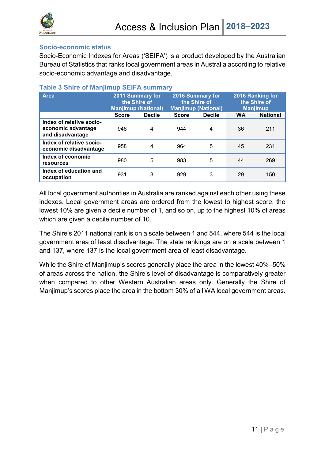

#### **Socio-economic status**

Socio-Economic Indexes for Areas ('SEIFA') is a product developed by the Australian Bureau of Statistics that ranks local government areas in Australia according to relative socio-economic advantage and disadvantage.

| <b>Area</b>                                                        | 2011 Summary for<br>the Shire of<br><b>Manjimup (National)</b> |               |              | <b>2016 Summary for</b><br>the Shire of<br><b>Manjimup (National)</b> | 2016 Ranking for<br>the Shire of<br><b>Manjimup</b> |                 |
|--------------------------------------------------------------------|----------------------------------------------------------------|---------------|--------------|-----------------------------------------------------------------------|-----------------------------------------------------|-----------------|
|                                                                    | <b>Score</b>                                                   | <b>Decile</b> | <b>Score</b> | <b>Decile</b>                                                         | <b>WA</b>                                           | <b>National</b> |
| Index of relative socio-<br>economic advantage<br>and disadvantage | 946                                                            | 4             | 944          | 4                                                                     | 36                                                  | 211             |
| Index of relative socio-<br>economic disadvantage                  | 958                                                            | 4             | 964          | 5                                                                     | 45                                                  | 231             |
| Index of economic<br>resources                                     | 980                                                            | 5             | 983          | 5                                                                     | 44                                                  | 269             |
| Index of education and<br>occupation                               | 931                                                            | 3             | 929          | 3                                                                     | 29                                                  | 150             |

#### **Table 3 Shire of Manjimup SEIFA summary**

All local government authorities in Australia are ranked against each other using these indexes. Local government areas are ordered from the lowest to highest score, the lowest 10% are given a decile number of 1, and so on, up to the highest 10% of areas which are given a decile number of 10.

The Shire's 2011 national rank is on a scale between 1 and 544, where 544 is the local government area of least disadvantage. The state rankings are on a scale between 1 and 137, where 137 is the local government area of least disadvantage.

While the Shire of Manjimup's scores generally place the area in the lowest 40%–50% of areas across the nation, the Shire's level of disadvantage is comparatively greater when compared to other Western Australian areas only. Generally the Shire of Manjimup's scores place the area in the bottom 30% of all WA local government areas.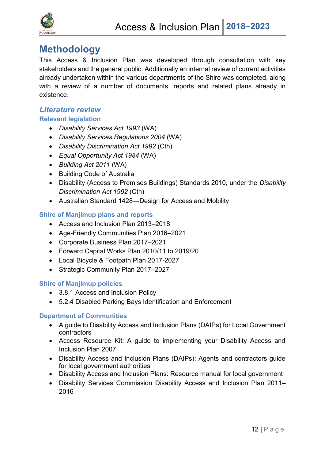

## <span id="page-12-0"></span>**Methodology**

This Access & Inclusion Plan was developed through consultation with key stakeholders and the general public. Additionally an internal review of current activities already undertaken within the various departments of the Shire was completed, along with a review of a number of documents, reports and related plans already in existence.

#### *Literature review* **Relevant legislation**

- *Disability Services Act 1993* (WA)
- *Disability Services Regulations 2004* (WA)
- *Disability Discrimination Act 1992* (Cth)
- *Equal Opportunity Act 1984* (WA)
- *Building Act 2011* (WA)
- Building Code of Australia
- Disability (Access to Premises Buildings) Standards 2010, under the *Disability Discrimination Act 1992* (Cth)
- Australian Standard 1428—Design for Access and Mobility

#### **Shire of Manjimup plans and reports**

- Access and Inclusion Plan 2013–2018
- Age-Friendly Communities Plan 2016–2021
- Corporate Business Plan 2017–2021
- Forward Capital Works Plan 2010/11 to 2019/20
- Local Bicycle & Footpath Plan 2017-2027
- Strategic Community Plan 2017–2027

#### **Shire of Manjimup policies**

- 3.8.1 Access and Inclusion Policy
- 5.2.4 Disabled Parking Bays Identification and Enforcement

#### **Department of Communities**

- A guide to Disability Access and Inclusion Plans (DAIPs) for Local Government contractors
- Access Resource Kit: A guide to implementing your Disability Access and Inclusion Plan 2007
- Disability Access and Inclusion Plans (DAIPs): Agents and contractors guide for local government authorities
- Disability Access and Inclusion Plans: Resource manual for local government
- Disability Services Commission Disability Access and Inclusion Plan 2011– 2016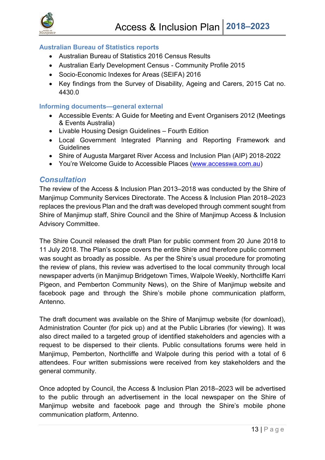

#### **Australian Bureau of Statistics reports**

- Australian Bureau of Statistics 2016 Census Results
- Australian Early Development Census Community Profile 2015
- Socio-Economic Indexes for Areas (SEIFA) 2016
- Key findings from the Survey of Disability, Ageing and Carers, 2015 Cat no. 4430.0

#### **Informing documents—general external**

- Accessible Events: A Guide for Meeting and Event Organisers 2012 (Meetings & Events Australia)
- Livable Housing Design Guidelines Fourth Edition
- Local Government Integrated Planning and Reporting Framework and **Guidelines**
- Shire of Augusta Margaret River Access and Inclusion Plan (AIP) 2018-2022
- You're Welcome Guide to Accessible Places [\(www.accesswa.com.au\)](http://www.accesswa.com.au/)

#### *Consultation*

The review of the Access & Inclusion Plan 2013–2018 was conducted by the Shire of Manjimup Community Services Directorate. The Access & Inclusion Plan 2018–2023 replaces the previous Plan and the draft was developed through comment sought from Shire of Manjimup staff, Shire Council and the Shire of Manjimup Access & Inclusion Advisory Committee.

The Shire Council released the draft Plan for public comment from 20 June 2018 to 11 July 2018. The Plan's scope covers the entire Shire and therefore public comment was sought as broadly as possible. As per the Shire's usual procedure for promoting the review of plans, this review was advertised to the local community through local newspaper adverts (in Manjimup Bridgetown Times, Walpole Weekly, Northcliffe Karri Pigeon, and Pemberton Community News), on the Shire of Manjimup website and facebook page and through the Shire's mobile phone communication platform, Antenno.

The draft document was available on the Shire of Manjimup website (for download), Administration Counter (for pick up) and at the Public Libraries (for viewing). It was also direct mailed to a targeted group of identified stakeholders and agencies with a request to be dispersed to their clients. Public consultations forums were held in Manjimup, Pemberton, Northcliffe and Walpole during this period with a total of 6 attendees. Four written submissions were received from key stakeholders and the general community.

Once adopted by Council, the Access & Inclusion Plan 2018–2023 will be advertised to the public through an advertisement in the local newspaper on the Shire of Manjimup website and facebook page and through the Shire's mobile phone communication platform, Antenno.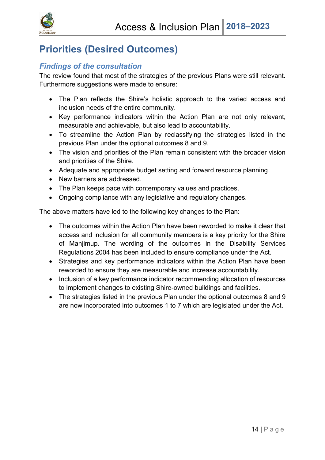

## <span id="page-14-0"></span>**Priorities (Desired Outcomes)**

#### <span id="page-14-1"></span>*Findings of the consultation*

The review found that most of the strategies of the previous Plans were still relevant. Furthermore suggestions were made to ensure:

- The Plan reflects the Shire's holistic approach to the varied access and inclusion needs of the entire community.
- Key performance indicators within the Action Plan are not only relevant, measurable and achievable, but also lead to accountability.
- To streamline the Action Plan by reclassifying the strategies listed in the previous Plan under the optional outcomes 8 and 9.
- The vision and priorities of the Plan remain consistent with the broader vision and priorities of the Shire.
- Adequate and appropriate budget setting and forward resource planning.
- New barriers are addressed.
- The Plan keeps pace with contemporary values and practices.
- Ongoing compliance with any legislative and regulatory changes.

The above matters have led to the following key changes to the Plan:

- The outcomes within the Action Plan have been reworded to make it clear that access and inclusion for all community members is a key priority for the Shire of Manjimup. The wording of the outcomes in the Disability Services Regulations 2004 has been included to ensure compliance under the Act.
- Strategies and key performance indicators within the Action Plan have been reworded to ensure they are measurable and increase accountability.
- Inclusion of a key performance indicator recommending allocation of resources to implement changes to existing Shire-owned buildings and facilities.
- The strategies listed in the previous Plan under the optional outcomes 8 and 9 are now incorporated into outcomes 1 to 7 which are legislated under the Act.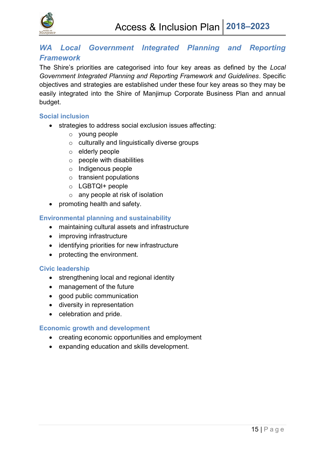

#### <span id="page-15-0"></span>**WA Local Government Integrated Planning and Reporting** *Framework*

The Shire's priorities are categorised into four key areas as defined by the *Local Government Integrated Planning and Reporting Framework and Guidelines*. Specific objectives and strategies are established under these four key areas so they may be easily integrated into the Shire of Manjimup Corporate Business Plan and annual budget.

#### **Social inclusion**

- strategies to address social exclusion issues affecting:
	- o young people
	- o culturally and linguistically diverse groups
	- o elderly people
	- $\circ$  people with disabilities
	- o Indigenous people
	- $\circ$  transient populations
	- o LGBTQI+ people
	- $\circ$  any people at risk of isolation
- promoting health and safety.

#### **Environmental planning and sustainability**

- maintaining cultural assets and infrastructure
- improving infrastructure
- identifying priorities for new infrastructure
- protecting the environment.

#### **Civic leadership**

- strengthening local and regional identity
- management of the future
- good public communication
- diversity in representation
- celebration and pride.

#### **Economic growth and development**

- creating economic opportunities and employment
- expanding education and skills development.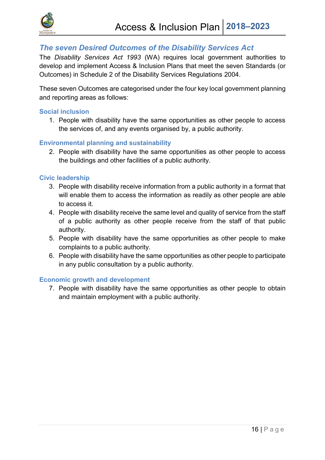

#### <span id="page-16-0"></span>*The seven Desired Outcomes of the Disability Services Act*

The *Disability Services Act 1993* (WA) requires local government authorities to develop and implement Access & Inclusion Plans that meet the seven Standards (or Outcomes) in Schedule 2 of the Disability Services Regulations 2004.

These seven Outcomes are categorised under the four key local government planning and reporting areas as follows:

#### **Social inclusion**

1. People with disability have the same opportunities as other people to access the services of, and any events organised by, a public authority.

#### **Environmental planning and sustainability**

2. People with disability have the same opportunities as other people to access the buildings and other facilities of a public authority.

#### **Civic leadership**

- 3. People with disability receive information from a public authority in a format that will enable them to access the information as readily as other people are able to access it.
- 4. People with disability receive the same level and quality of service from the staff of a public authority as other people receive from the staff of that public authority.
- 5. People with disability have the same opportunities as other people to make complaints to a public authority.
- 6. People with disability have the same opportunities as other people to participate in any public consultation by a public authority.

#### **Economic growth and development**

7. People with disability have the same opportunities as other people to obtain and maintain employment with a public authority.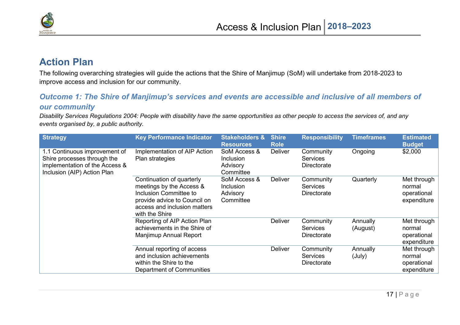

### **Action Plan**

The following overarching strategies will guide the actions that the Shire of Manjimup (SoM) will undertake from 2018-2023 to improve access and inclusion for our community.

#### *Outcome 1: The Shire of Manjimup's services and events are accessible and inclusive of all members of our community*

*Disability Services Regulations 2004: People with disability have the same opportunities as other people to access the services of, and any events organised by, a public authority.*

<span id="page-17-1"></span><span id="page-17-0"></span>

| <b>Strategy</b>                                                                                                               | <b>Key Performance Indicator</b>                                                                                                                                  | <b>Stakeholders &amp;</b><br><b>Resources</b>      | <b>Shire</b><br><b>Role</b> | <b>Responsibility</b>                              | <b>Timeframes</b>    | <b>Estimated</b><br><b>Budget</b>                   |
|-------------------------------------------------------------------------------------------------------------------------------|-------------------------------------------------------------------------------------------------------------------------------------------------------------------|----------------------------------------------------|-----------------------------|----------------------------------------------------|----------------------|-----------------------------------------------------|
| 1.1 Continuous improvement of<br>Shire processes through the<br>implementation of the Access &<br>Inclusion (AIP) Action Plan | Implementation of AIP Action<br>Plan strategies                                                                                                                   | SoM Access &<br>Inclusion<br>Advisory<br>Committee | <b>Deliver</b>              | Community<br><b>Services</b><br>Directorate        | Ongoing              | \$2,000                                             |
|                                                                                                                               | Continuation of quarterly<br>meetings by the Access &<br>Inclusion Committee to<br>provide advice to Council on<br>access and inclusion matters<br>with the Shire | SoM Access &<br>Inclusion<br>Advisory<br>Committee | <b>Deliver</b>              | Community<br><b>Services</b><br>Directorate        | Quarterly            | Met through<br>normal<br>operational<br>expenditure |
|                                                                                                                               | Reporting of AIP Action Plan<br>achievements in the Shire of<br>Manjimup Annual Report                                                                            |                                                    | <b>Deliver</b>              | Community<br><b>Services</b><br><b>Directorate</b> | Annually<br>(August) | Met through<br>normal<br>operational<br>expenditure |
|                                                                                                                               | Annual reporting of access<br>and inclusion achievements<br>within the Shire to the<br>Department of Communities                                                  |                                                    | <b>Deliver</b>              | Community<br><b>Services</b><br>Directorate        | Annually<br>(July)   | Met through<br>normal<br>operational<br>expenditure |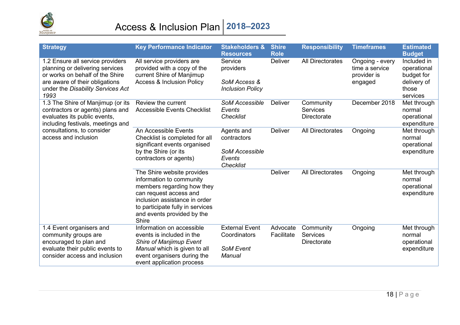

## Access & Inclusion Plan **2018–2023**

| <b>Strategy</b>                                                                                                                                                                                  | <b>Key Performance Indicator</b>                                                                                                                                                                                           | <b>Stakeholders &amp;</b><br><b>Resources</b>                                    | <b>Shire</b><br><b>Role</b> | <b>Responsibility</b>                       | <b>Timeframes</b>                                           | <b>Estimated</b><br><b>Budget</b>                                            |
|--------------------------------------------------------------------------------------------------------------------------------------------------------------------------------------------------|----------------------------------------------------------------------------------------------------------------------------------------------------------------------------------------------------------------------------|----------------------------------------------------------------------------------|-----------------------------|---------------------------------------------|-------------------------------------------------------------|------------------------------------------------------------------------------|
| 1.2 Ensure all service providers<br>planning or delivering services<br>or works on behalf of the Shire<br>are aware of their obligations<br>under the Disability Services Act<br>1993            | All service providers are<br>provided with a copy of the<br>current Shire of Manjimup<br><b>Access &amp; Inclusion Policy</b>                                                                                              | Service<br>providers<br>SoM Access &<br><b>Inclusion Policy</b>                  | <b>Deliver</b>              | <b>All Directorates</b>                     | Ongoing - every<br>time a service<br>provider is<br>engaged | Included in<br>operational<br>budget for<br>delivery of<br>those<br>services |
| 1.3 The Shire of Manjimup (or its<br>contractors or agents) plans and<br>evaluates its public events,<br>including festivals, meetings and<br>consultations, to consider<br>access and inclusion | Review the current<br><b>Accessible Events Checklist</b>                                                                                                                                                                   | <b>SoM Accessible</b><br>Events<br><b>Checklist</b>                              | Deliver                     | Community<br><b>Services</b><br>Directorate | December 2018                                               | Met through<br>normal<br>operational<br>expenditure                          |
|                                                                                                                                                                                                  | An Accessible Events<br>Checklist is completed for all<br>significant events organised<br>by the Shire (or its<br>contractors or agents)                                                                                   | Agents and<br>contractors<br><b>SoM Accessible</b><br>Events<br><b>Checklist</b> | Deliver                     | All Directorates                            | Ongoing                                                     | Met through<br>normal<br>operational<br>expenditure                          |
|                                                                                                                                                                                                  | The Shire website provides<br>information to community<br>members regarding how they<br>can request access and<br>inclusion assistance in order<br>to participate fully in services<br>and events provided by the<br>Shire |                                                                                  | <b>Deliver</b>              | All Directorates                            | Ongoing                                                     | Met through<br>normal<br>operational<br>expenditure                          |
| 1.4 Event organisers and<br>community groups are<br>encouraged to plan and<br>evaluate their public events to<br>consider access and inclusion                                                   | Information on accessible<br>events is included in the<br>Shire of Manjimup Event<br>Manual which is given to all<br>event organisers during the<br>event application process                                              | <b>External Event</b><br>Coordinators<br><b>SoM Event</b><br><b>Manual</b>       | Advocate<br>Facilitate      | Community<br><b>Services</b><br>Directorate | Ongoing                                                     | Met through<br>normal<br>operational<br>expenditure                          |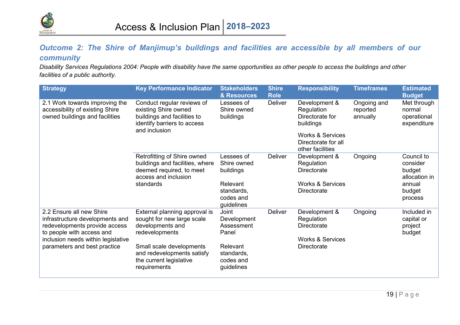

#### *Outcome 2: The Shire of Manjimup's buildings and facilities are accessible by all members of our community*

*Disability Services Regulations 2004: People with disability have the same opportunities as other people to access the buildings and other facilities of a public authority.*

<span id="page-19-0"></span>

| <b>Strategy</b>                                                                                                                                                                                 | <b>Key Performance Indicator</b>                                                                                                                                                                       | <b>Stakeholders</b><br>& Resources                                                               | <b>Shire</b><br><b>Role</b> | <b>Responsibility</b>                                                                                                                 | <b>Timeframes</b>                   | <b>Estimated</b><br><b>Budget</b>                                                |
|-------------------------------------------------------------------------------------------------------------------------------------------------------------------------------------------------|--------------------------------------------------------------------------------------------------------------------------------------------------------------------------------------------------------|--------------------------------------------------------------------------------------------------|-----------------------------|---------------------------------------------------------------------------------------------------------------------------------------|-------------------------------------|----------------------------------------------------------------------------------|
| 2.1 Work towards improving the<br>accessibility of existing Shire<br>owned buildings and facilities                                                                                             | Conduct regular reviews of<br>existing Shire owned<br>buildings and facilities to<br>identify barriers to access<br>and inclusion                                                                      | Lessees of<br>Shire owned<br>buildings                                                           | Deliver                     | Development &<br>Regulation<br>Directorate for<br>buildings<br><b>Works &amp; Services</b><br>Directorate for all<br>other facilities | Ongoing and<br>reported<br>annually | Met through<br>normal<br>operational<br>expenditure                              |
|                                                                                                                                                                                                 | Retrofitting of Shire owned<br>buildings and facilities, where<br>deemed required, to meet<br>access and inclusion<br>standards                                                                        | Lessees of<br>Shire owned<br>buildings<br>Relevant<br>standards,<br>codes and<br>guidelines      | Deliver                     | Development &<br>Regulation<br>Directorate<br><b>Works &amp; Services</b><br>Directorate                                              | Ongoing                             | Council to<br>consider<br>budget<br>allocation in<br>annual<br>budget<br>process |
| 2.2 Ensure all new Shire<br>infrastructure developments and<br>redevelopments provide access<br>to people with access and<br>inclusion needs within legislative<br>parameters and best practice | External planning approval is<br>sought for new large scale<br>developments and<br>redevelopments<br>Small scale developments<br>and redevelopments satisfy<br>the current legislative<br>requirements | Joint<br>Development<br>Assessment<br>Panel<br>Relevant<br>standards,<br>codes and<br>guidelines | Deliver                     | Development &<br>Regulation<br>Directorate<br><b>Works &amp; Services</b><br>Directorate                                              | Ongoing                             | Included in<br>capital or<br>project<br>budget                                   |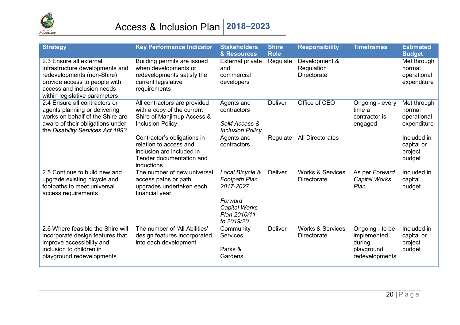

# Access & Inclusion Plan **2018–2023**

| <b>Strategy</b>                                                                                                                                                                          | <b>Key Performance Indicator</b>                                                                                             | <b>Stakeholders</b><br>& Resources                                   | <b>Shire</b><br><b>Role</b> | <b>Responsibility</b>                             | <b>Timeframes</b>                                      | <b>Estimated</b><br><b>Budget</b>                   |
|------------------------------------------------------------------------------------------------------------------------------------------------------------------------------------------|------------------------------------------------------------------------------------------------------------------------------|----------------------------------------------------------------------|-----------------------------|---------------------------------------------------|--------------------------------------------------------|-----------------------------------------------------|
| 2.3 Ensure all external<br>infrastructure developments and<br>redevelopments (non-Shire)<br>provide access to people with<br>access and inclusion needs<br>within legislative parameters | Building permits are issued<br>when developments or<br>redevelopments satisfy the<br>current legislative<br>requirements     | <b>External private</b><br>and<br>commercial<br>developers           | Regulate                    | Development &<br>Regulation<br><b>Directorate</b> |                                                        | Met through<br>normal<br>operational<br>expenditure |
| 2.4 Ensure all contractors or<br>agents planning or delivering<br>works on behalf of the Shire are<br>aware of their obligations under<br>the Disability Services Act 1993               | All contractors are provided<br>with a copy of the current<br>Shire of Manjimup Access &<br><b>Inclusion Policy</b>          | Agents and<br>contractors<br>SoM Access &<br><b>Inclusion Policy</b> | <b>Deliver</b>              | Office of CEO                                     | Ongoing - every<br>time a<br>contractor is<br>engaged  | Met through<br>normal<br>operational<br>expenditure |
|                                                                                                                                                                                          | Contractor's obligations in<br>relation to access and<br>inclusion are included in<br>Tender documentation and<br>inductions | Agents and<br>contractors                                            | Regulate                    | <b>All Directorates</b>                           |                                                        | Included in<br>capital or<br>project<br>budget      |
| 2.5 Continue to build new and<br>upgrade existing bicycle and<br>footpaths to meet universal<br>access requirements                                                                      | The number of new universal<br>access paths or path<br>upgrades undertaken each<br>financial year                            | Local Bicycle &<br><b>Footpath Plan</b><br>2017-2027                 | <b>Deliver</b>              | <b>Works &amp; Services</b><br>Directorate        | As per Forward<br><b>Capital Works</b><br>Plan         | Included in<br>capital<br>budget                    |
|                                                                                                                                                                                          |                                                                                                                              | Forward<br><b>Capital Works</b><br>Plan 2010/11<br>to 2019/20        |                             |                                                   |                                                        |                                                     |
| 2.6 Where feasible the Shire will<br>incorporate design features that<br>improve accessibility and<br>inclusion to children in                                                           | The number of 'All Abilities'<br>design features incorporated<br>into each development                                       | Community<br><b>Services</b><br>Parks &                              | <b>Deliver</b>              | <b>Works &amp; Services</b><br>Directorate        | Ongoing - to be<br>implemented<br>during<br>playground | Included in<br>capital or<br>project<br>budget      |
| playground redevelopments                                                                                                                                                                |                                                                                                                              | Gardens                                                              |                             |                                                   | redevelopments                                         |                                                     |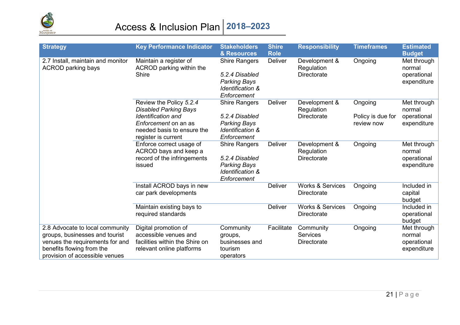

# Access & Inclusion Plan **2018–2023**

| <b>Strategy</b>                                                                                                                                                     | <b>Key Performance Indicator</b>                                                                                                                                         | <b>Stakeholders</b><br>& Resources                                                                          | <b>Shire</b><br><b>Role</b> | <b>Responsibility</b>                       | <b>Timeframes</b>                          | <b>Estimated</b><br><b>Budget</b>                   |
|---------------------------------------------------------------------------------------------------------------------------------------------------------------------|--------------------------------------------------------------------------------------------------------------------------------------------------------------------------|-------------------------------------------------------------------------------------------------------------|-----------------------------|---------------------------------------------|--------------------------------------------|-----------------------------------------------------|
| 2.7 Install, maintain and monitor<br><b>ACROD</b> parking bays                                                                                                      | Maintain a register of<br>ACROD parking within the<br><b>Shire</b>                                                                                                       | <b>Shire Rangers</b><br>5.2.4 Disabled<br><b>Parking Bays</b><br><b>Identification &amp;</b><br>Enforcement | Deliver                     | Development &<br>Regulation<br>Directorate  | Ongoing                                    | Met through<br>normal<br>operational<br>expenditure |
|                                                                                                                                                                     | Review the Policy 5.2.4<br><b>Disabled Parking Bays</b><br><b>Identification and</b><br><i>Enforcement</i> on an as<br>needed basis to ensure the<br>register is current | <b>Shire Rangers</b><br>5.2.4 Disabled<br><b>Parking Bays</b><br>Identification &<br>Enforcement            | Deliver                     | Development &<br>Regulation<br>Directorate  | Ongoing<br>Policy is due for<br>review now | Met through<br>normal<br>operational<br>expenditure |
|                                                                                                                                                                     | Enforce correct usage of<br>ACROD bays and keep a<br>record of the infringements<br>issued                                                                               | <b>Shire Rangers</b><br>5.2.4 Disabled<br><b>Parking Bays</b><br><b>Identification &amp;</b><br>Enforcement | <b>Deliver</b>              | Development &<br>Regulation<br>Directorate  | Ongoing                                    | Met through<br>normal<br>operational<br>expenditure |
|                                                                                                                                                                     | Install ACROD bays in new<br>car park developments                                                                                                                       |                                                                                                             | <b>Deliver</b>              | <b>Works &amp; Services</b><br>Directorate  | Ongoing                                    | Included in<br>capital<br>budget                    |
|                                                                                                                                                                     | Maintain existing bays to<br>required standards                                                                                                                          |                                                                                                             | <b>Deliver</b>              | <b>Works &amp; Services</b><br>Directorate  | Ongoing                                    | Included in<br>operational<br>budget                |
| 2.8 Advocate to local community<br>groups, businesses and tourist<br>venues the requirements for and<br>benefits flowing from the<br>provision of accessible venues | Digital promotion of<br>accessible venues and<br>facilities within the Shire on<br>relevant online platforms                                                             | Community<br>groups,<br>businesses and<br>tourism<br>operators                                              | Facilitate                  | Community<br><b>Services</b><br>Directorate | Ongoing                                    | Met through<br>normal<br>operational<br>expenditure |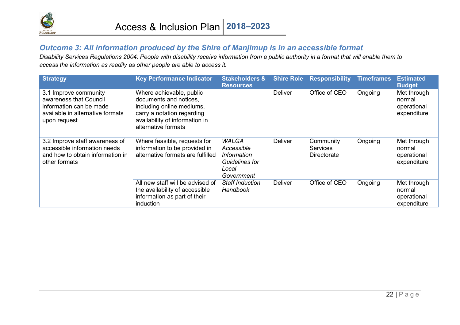

#### *Outcome 3: All information produced by the Shire of Manjimup is in an accessible format*

*Disability Services Regulations 2004: People with disability receive information from a public authority in a format that will enable them to access the information as readily as other people are able to access it.*

<span id="page-22-0"></span>

| <b>Strategy</b>                                                                                                                | <b>Key Performance Indicator</b>                                                                                                                                       | <b>Stakeholders &amp;</b><br><b>Resources</b>                                      | <b>Shire Role</b> | <b>Responsibility</b>                       | <b>Timeframes</b> | <b>Estimated</b><br><b>Budget</b>                   |
|--------------------------------------------------------------------------------------------------------------------------------|------------------------------------------------------------------------------------------------------------------------------------------------------------------------|------------------------------------------------------------------------------------|-------------------|---------------------------------------------|-------------------|-----------------------------------------------------|
| 3.1 Improve community<br>awareness that Council<br>information can be made<br>available in alternative formats<br>upon request | Where achievable, public<br>documents and notices.<br>including online mediums,<br>carry a notation regarding<br>availability of information in<br>alternative formats |                                                                                    | <b>Deliver</b>    | Office of CEO                               | Ongoing           | Met through<br>normal<br>operational<br>expenditure |
| 3.2 Improve staff awareness of<br>accessible information needs<br>and how to obtain information in<br>other formats            | Where feasible, requests for<br>information to be provided in<br>alternative formats are fulfilled                                                                     | <b>WALGA</b><br>Accessible<br>Information<br>Guidelines for<br>Local<br>Government | <b>Deliver</b>    | Community<br><b>Services</b><br>Directorate | Ongoing           | Met through<br>normal<br>operational<br>expenditure |
|                                                                                                                                | All new staff will be advised of<br>the availability of accessible<br>information as part of their<br>induction                                                        | <b>Staff Induction</b><br>Handbook                                                 | <b>Deliver</b>    | Office of CEO                               | Ongoing           | Met through<br>normal<br>operational<br>expenditure |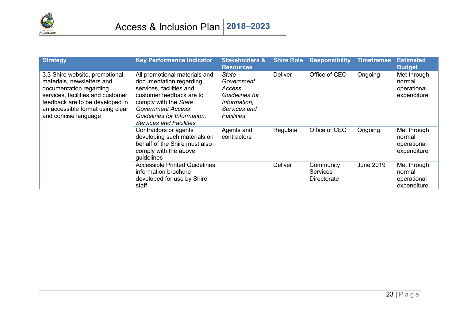

| <b>Strategy</b>                                                                                                                                                                                                             | <b>Key Performance Indicator</b>                                                                                                                                                                                                       | <b>Stakeholders &amp;</b><br><b>Resources</b>                                                 | <b>Shire Role</b> | <b>Responsibility</b>                       | <b>Timeframes</b> | <b>Estimated</b><br><b>Budget</b>                   |
|-----------------------------------------------------------------------------------------------------------------------------------------------------------------------------------------------------------------------------|----------------------------------------------------------------------------------------------------------------------------------------------------------------------------------------------------------------------------------------|-----------------------------------------------------------------------------------------------|-------------------|---------------------------------------------|-------------------|-----------------------------------------------------|
| 3.3 Shire website, promotional<br>materials, newsletters and<br>documentation regarding<br>services, facilities and customer<br>feedback are to be developed in<br>an accessible format using clear<br>and concise language | All promotional materials and<br>documentation regarding<br>services, facilities and<br>customer feedback are to<br>comply with the State<br><b>Government Access</b><br>Guidelines for Information,<br><b>Services and Facilities</b> | State<br>Government<br>Access<br>Guidelines for<br>Information,<br>Services and<br>Facilities | Deliver           | Office of CEO                               | Ongoing           | Met through<br>normal<br>operational<br>expenditure |
|                                                                                                                                                                                                                             | Contractors or agents<br>developing such materials on<br>behalf of the Shire must also<br>comply with the above<br>guidelines                                                                                                          | Agents and<br>contractors                                                                     | Regulate          | Office of CEO                               | Ongoing           | Met through<br>normal<br>operational<br>expenditure |
|                                                                                                                                                                                                                             | <b>Accessible Printed Guidelines</b><br>information brochure<br>developed for use by Shire<br>staff                                                                                                                                    |                                                                                               | <b>Deliver</b>    | Community<br><b>Services</b><br>Directorate | June 2019         | Met through<br>normal<br>operational<br>expenditure |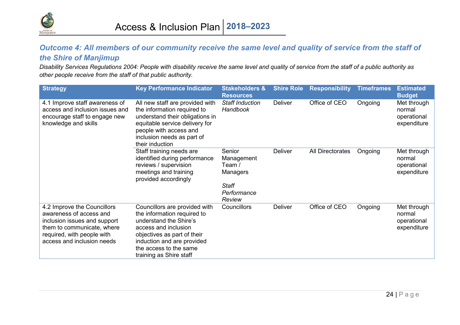

#### *Outcome 4: All members of our community receive the same level and quality of service from the staff of the Shire of Manjimup*

*Disability Services Regulations 2004: People with disability receive the same level and quality of service from the staff of a public authority as other people receive from the staff of that public authority.*

<span id="page-24-0"></span>

| <b>Strategy</b>                                                                                                                                                                  | <b>Key Performance Indicator</b>                                                                                                                                                                                                 | <b>Stakeholders &amp;</b><br><b>Resources</b>                                       | <b>Shire Role</b> | <b>Responsibility</b> | <b>Timeframes</b> | <b>Estimated</b><br><b>Budget</b>                   |
|----------------------------------------------------------------------------------------------------------------------------------------------------------------------------------|----------------------------------------------------------------------------------------------------------------------------------------------------------------------------------------------------------------------------------|-------------------------------------------------------------------------------------|-------------------|-----------------------|-------------------|-----------------------------------------------------|
| 4.1 Improve staff awareness of<br>access and inclusion issues and<br>encourage staff to engage new<br>knowledge and skills                                                       | All new staff are provided with<br>the information required to<br>understand their obligations in<br>equitable service delivery for<br>people with access and<br>inclusion needs as part of<br>their induction                   | <b>Staff Induction</b><br>Handbook                                                  | <b>Deliver</b>    | Office of CEO         | Ongoing           | Met through<br>normal<br>operational<br>expenditure |
|                                                                                                                                                                                  | Staff training needs are<br>identified during performance<br>reviews / supervision<br>meetings and training<br>provided accordingly                                                                                              | Senior<br>Management<br>Team /<br>Managers<br><b>Staff</b><br>Performance<br>Review | <b>Deliver</b>    | All Directorates      | Ongoing           | Met through<br>normal<br>operational<br>expenditure |
| 4.2 Improve the Councillors<br>awareness of access and<br>inclusion issues and support<br>them to communicate, where<br>required, with people with<br>access and inclusion needs | Councillors are provided with<br>the information required to<br>understand the Shire's<br>access and inclusion<br>objectives as part of their<br>induction and are provided<br>the access to the same<br>training as Shire staff | Councillors                                                                         | <b>Deliver</b>    | Office of CEO         | Ongoing           | Met through<br>normal<br>operational<br>expenditure |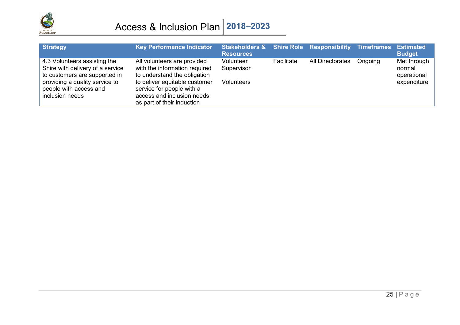

| <b>Strategy</b>                                                                                                                                                                  | <b>Key Performance Indicator</b>                                                                                                                                                                                       | Stakeholders & Shire Role Responsibility Timeframes<br><b>Resources</b> |            |                  |         | <b>Estimated</b><br><b>Budget</b>                   |
|----------------------------------------------------------------------------------------------------------------------------------------------------------------------------------|------------------------------------------------------------------------------------------------------------------------------------------------------------------------------------------------------------------------|-------------------------------------------------------------------------|------------|------------------|---------|-----------------------------------------------------|
| 4.3 Volunteers assisting the<br>Shire with delivery of a service<br>to customers are supported in<br>providing a quality service to<br>people with access and<br>inclusion needs | All volunteers are provided<br>with the information required<br>to understand the obligation<br>to deliver equitable customer<br>service for people with a<br>access and inclusion needs<br>as part of their induction | Volunteer<br>Supervisor<br><b>Volunteers</b>                            | Facilitate | All Directorates | Ongoing | Met through<br>normal<br>operational<br>expenditure |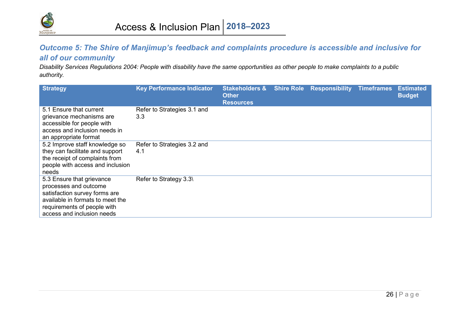

#### *Outcome 5: The Shire of Manjimup's feedback and complaints procedure is accessible and inclusive for all of our community*

*Disability Services Regulations 2004: People with disability have the same opportunities as other people to make complaints to a public authority.*

<span id="page-26-0"></span>

| <b>Strategy</b>                                                                                                                                                                      | <b>Key Performance Indicator</b>   | <b>Stakeholders &amp;</b><br><b>Other</b><br><b>Resources</b> | <b>Shire Role Responsibility Timeframes</b> | <b>Estimated</b><br><b>Budget</b> |
|--------------------------------------------------------------------------------------------------------------------------------------------------------------------------------------|------------------------------------|---------------------------------------------------------------|---------------------------------------------|-----------------------------------|
| 5.1 Ensure that current<br>grievance mechanisms are<br>accessible for people with<br>access and inclusion needs in<br>an appropriate format                                          | Refer to Strategies 3.1 and<br>3.3 |                                                               |                                             |                                   |
| 5.2 Improve staff knowledge so<br>they can facilitate and support<br>the receipt of complaints from<br>people with access and inclusion<br>needs                                     | Refer to Strategies 3.2 and<br>4.1 |                                                               |                                             |                                   |
| 5.3 Ensure that grievance<br>processes and outcome<br>satisfaction survey forms are<br>available in formats to meet the<br>requirements of people with<br>access and inclusion needs | Refer to Strategy 3.3\             |                                                               |                                             |                                   |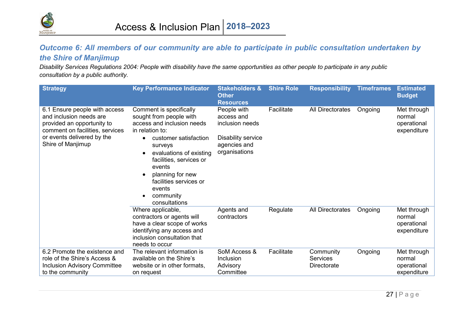

#### *Outcome 6: All members of our community are able to participate in public consultation undertaken by the Shire of Manjimup*

*Disability Services Regulations 2004: People with disability have the same opportunities as other people to participate in any public consultation by a public authority.*

<span id="page-27-0"></span>

| <b>Strategy</b>                                                                                                                                                              | <b>Key Performance Indicator</b>                                                                                                                                                                                                                                                              | <b>Stakeholders &amp;</b><br><b>Other</b><br><b>Resources</b>                                       | <b>Shire Role</b> | <b>Responsibility</b>                              | <b>Timeframes</b> | <b>Estimated</b><br><b>Budget</b>                   |
|------------------------------------------------------------------------------------------------------------------------------------------------------------------------------|-----------------------------------------------------------------------------------------------------------------------------------------------------------------------------------------------------------------------------------------------------------------------------------------------|-----------------------------------------------------------------------------------------------------|-------------------|----------------------------------------------------|-------------------|-----------------------------------------------------|
| 6.1 Ensure people with access<br>and inclusion needs are<br>provided an opportunity to<br>comment on facilities, services<br>or events delivered by the<br>Shire of Manjimup | Comment is specifically<br>sought from people with<br>access and inclusion needs<br>in relation to:<br>customer satisfaction<br>surveys<br>evaluations of existing<br>facilities, services or<br>events<br>planning for new<br>facilities services or<br>events<br>community<br>consultations | People with<br>access and<br>inclusion needs<br>Disability service<br>agencies and<br>organisations | Facilitate        | All Directorates                                   | Ongoing           | Met through<br>normal<br>operational<br>expenditure |
|                                                                                                                                                                              | Where applicable,<br>contractors or agents will<br>have a clear scope of works<br>identifying any access and<br>inclusion consultation that<br>needs to occur                                                                                                                                 | Agents and<br>contractors                                                                           | Regulate          | All Directorates                                   | Ongoing           | Met through<br>normal<br>operational<br>expenditure |
| 6.2 Promote the existence and<br>role of the Shire's Access &<br><b>Inclusion Advisory Committee</b><br>to the community                                                     | The relevant information is<br>available on the Shire's<br>website or in other formats,<br>on request                                                                                                                                                                                         | SoM Access &<br>Inclusion<br>Advisory<br>Committee                                                  | Facilitate        | Community<br><b>Services</b><br><b>Directorate</b> | Ongoing           | Met through<br>normal<br>operational<br>expenditure |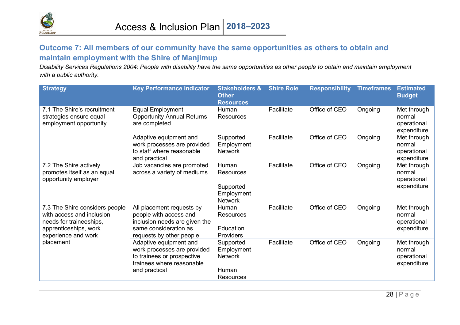

#### **Outcome 7: All members of our community have the same opportunities as others to obtain and maintain employment with the Shire of Manjimup**

*Disability Services Regulations 2004: People with disability have the same opportunities as other people to obtain and maintain employment with a public authority.*

<span id="page-28-0"></span>

| <b>Strategy</b>                                                                                                                        | <b>Key Performance Indicator</b>                                                                                                          | <b>Stakeholders &amp;</b><br><b>Other</b><br><b>Resources</b>          | <b>Shire Role</b> | <b>Responsibility</b> | <b>Timeframes</b> | <b>Estimated</b><br><b>Budget</b>                   |
|----------------------------------------------------------------------------------------------------------------------------------------|-------------------------------------------------------------------------------------------------------------------------------------------|------------------------------------------------------------------------|-------------------|-----------------------|-------------------|-----------------------------------------------------|
| 7.1 The Shire's recruitment<br>strategies ensure equal<br>employment opportunity                                                       | <b>Equal Employment</b><br><b>Opportunity Annual Returns</b><br>are completed                                                             | Human<br>Resources                                                     | Facilitate        | Office of CEO         | Ongoing           | Met through<br>normal<br>operational<br>expenditure |
|                                                                                                                                        | Adaptive equipment and<br>work processes are provided<br>to staff where reasonable<br>and practical                                       | Supported<br>Employment<br><b>Network</b>                              | Facilitate        | Office of CEO         | Ongoing           | Met through<br>normal<br>operational<br>expenditure |
| 7.2 The Shire actively<br>promotes itself as an equal<br>opportunity employer                                                          | Job vacancies are promoted<br>across a variety of mediums                                                                                 | Human<br>Resources<br>Supported<br>Employment<br><b>Network</b>        | Facilitate        | Office of CEO         | Ongoing           | Met through<br>normal<br>operational<br>expenditure |
| 7.3 The Shire considers people<br>with access and inclusion<br>needs for traineeships,<br>apprenticeships, work<br>experience and work | All placement requests by<br>people with access and<br>inclusion needs are given the<br>same consideration as<br>requests by other people | Human<br>Resources<br>Education<br>Providers                           | Facilitate        | Office of CEO         | Ongoing           | Met through<br>normal<br>operational<br>expenditure |
| placement                                                                                                                              | Adaptive equipment and<br>work processes are provided<br>to trainees or prospective<br>trainees where reasonable<br>and practical         | Supported<br>Employment<br><b>Network</b><br>Human<br><b>Resources</b> | Facilitate        | Office of CEO         | Ongoing           | Met through<br>normal<br>operational<br>expenditure |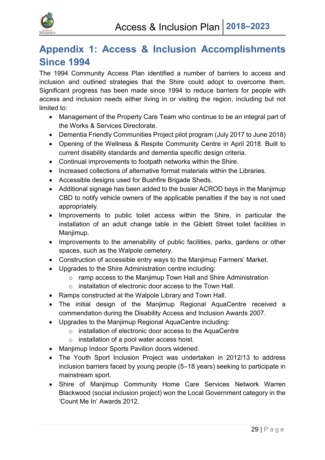

## <span id="page-29-0"></span>**Appendix 1: Access & Inclusion Accomplishments Since 1994**

The 1994 Community Access Plan identified a number of barriers to access and inclusion and outlined strategies that the Shire could adopt to overcome them. Significant progress has been made since 1994 to reduce barriers for people with access and inclusion needs either living in or visiting the region, including but not limited to:

- Management of the Property Care Team who continue to be an integral part of the Works & Services Directorate.
- Dementia Friendly Communities Project pilot program (July 2017 to June 2018)
- Opening of the Wellness & Respite Community Centre in April 2018. Built to current disability standards and dementia specific design criteria.
- Continual improvements to footpath networks within the Shire.
- Increased collections of alternative format materials within the Libraries.
- Accessible designs used for Bushfire Brigade Sheds.
- Additional signage has been added to the busier ACROD bays in the Manjimup CBD to notify vehicle owners of the applicable penalties if the bay is not used appropriately.
- Improvements to public toilet access within the Shire, in particular the installation of an adult change table in the Giblett Street toilet facilities in Manjimup.
- Improvements to the amenability of public facilities, parks, gardens or other spaces, such as the Walpole cemetery.
- Construction of accessible entry ways to the Manjimup Farmers' Market.
- Upgrades to the Shire Administration centre including:
	- o ramp access to the Manjimup Town Hall and Shire Administration
	- o installation of electronic door access to the Town Hall.
- Ramps constructed at the Walpole Library and Town Hall.
- The initial design of the Manjimup Regional AquaCentre received a commendation during the Disability Access and Inclusion Awards 2007.
- Upgrades to the Manjimup Regional AquaCentre including:
	- o installation of electronic door access to the AquaCentre
	- o installation of a pool water access hoist.
- Manjimup Indoor Sports Pavilion doors widened.
- The Youth Sport Inclusion Project was undertaken in 2012/13 to address inclusion barriers faced by young people (5–18 years) seeking to participate in mainstream sport.
- Shire of Manjimup Community Home Care Services Network Warren Blackwood (social inclusion project) won the Local Government category in the 'Count Me In' Awards 2012.